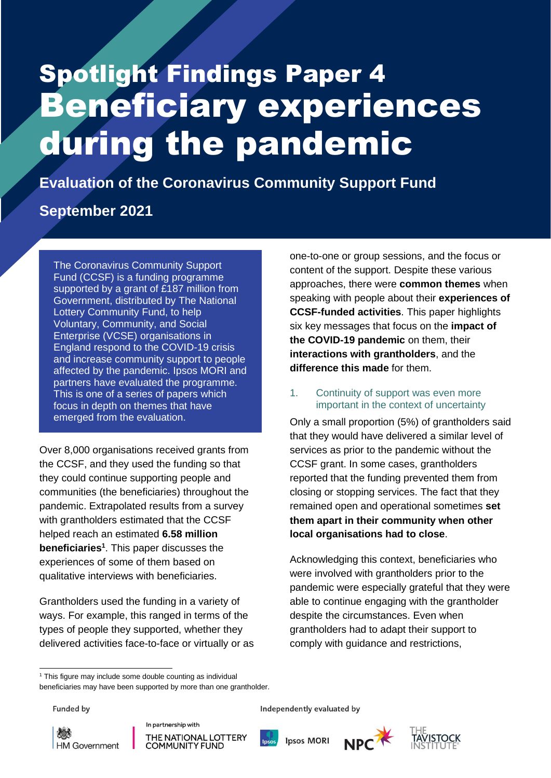# Spotlight Findings Paper 4 Beneficiary experiences during the pandemic

Ipsos MORI | Evaluation of CCSF: Spotlight Findings Paper 4 1

**Evaluation of the Coronavirus Community Support Fund**

## **September 2021**

The Coronavirus Community Support Fund (CCSF) is a funding programme supported by a grant of £187 million from Government, distributed by The National Lottery Community Fund, to help Voluntary, Community, and Social Enterprise (VCSE) organisations in England respond to the COVID-19 crisis and increase community support to people affected by the pandemic. Ipsos MORI and partners have evaluated the programme. This is one of a series of papers which focus in depth on themes that have emerged from the evaluation.

Over 8,000 organisations received grants from the CCSF, and they used the funding so that they could continue supporting people and communities (the beneficiaries) throughout the pandemic. Extrapolated results from a survey with grantholders estimated that the CCSF helped reach an estimated **6.58 million beneficiaries<sup>1</sup>** . This paper discusses the experiences of some of them based on qualitative interviews with beneficiaries.

Grantholders used the funding in a variety of ways. For example, this ranged in terms of the types of people they supported, whether they delivered activities face-to-face or virtually or as one-to-one or group sessions, and the focus or content of the support. Despite these various approaches, there were **common themes** when speaking with people about their **experiences of CCSF-funded activities**. This paper highlights six key messages that focus on the **impact of the COVID-19 pandemic** on them, their **interactions with grantholders**, and the **difference this made** for them.

### 1. Continuity of support was even more important in the context of uncertainty

Only a small proportion (5%) of grantholders said that they would have delivered a similar level of services as prior to the pandemic without the CCSF grant. In some cases, grantholders reported that the funding prevented them from closing or stopping services. The fact that they remained open and operational sometimes **set them apart in their community when other local organisations had to close**.

Acknowledging this context, beneficiaries who were involved with grantholders prior to the pandemic were especially grateful that they were able to continue engaging with the grantholder despite the circumstances. Even when grantholders had to adapt their support to comply with guidance and restrictions,

**Funded by** 

後期 **HM Government** 



Independently evaluated by

**Ipsos MORI** 





 $1$  This figure may include some double counting as individual beneficiaries may have been supported by more than one grantholder.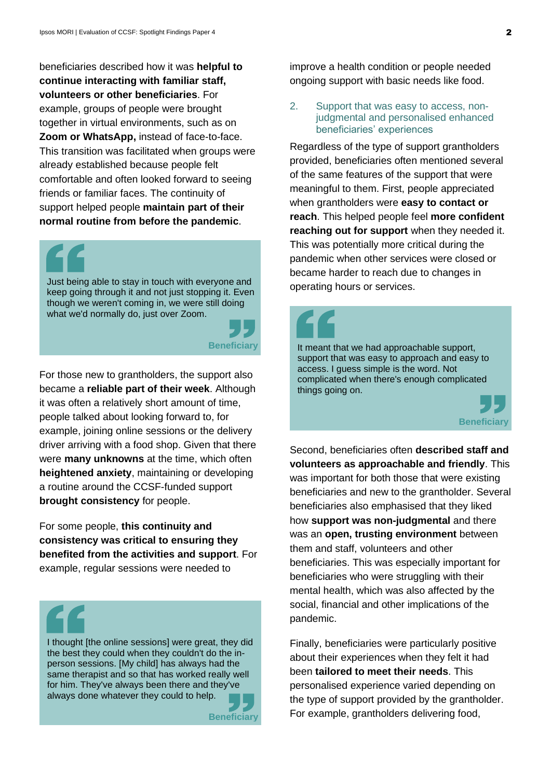beneficiaries described how it was **helpful to continue interacting with familiar staff, volunteers or other beneficiaries**. For example, groups of people were brought together in virtual environments, such as on **Zoom or WhatsApp,** instead of face-to-face. This transition was facilitated when groups were already established because people felt comfortable and often looked forward to seeing friends or familiar faces. The continuity of support helped people **maintain part of their normal routine from before the pandemic**.

Just being able to stay in touch with everyone and keep going through it and not just stopping it. Even though we weren't coming in, we were still doing what we'd normally do, just over Zoom.

For those new to grantholders, the support also became a **reliable part of their week**. Although it was often a relatively short amount of time, people talked about looking forward to, for example, joining online sessions or the delivery driver arriving with a food shop. Given that there were **many unknowns** at the time, which often **heightened anxiety**, maintaining or developing a routine around the CCSF-funded support **brought consistency** for people.

For some people, **this continuity and consistency was critical to ensuring they benefited from the activities and support**. For example, regular sessions were needed to

I thought [the online sessions] were great, they did the best they could when they couldn't do the inperson sessions. [My child] has always had the same therapist and so that has worked really well for him. They've always been there and they've always done whatever they could to help.



improve a health condition or people needed ongoing support with basic needs like food.

2. Support that was easy to access, nonjudgmental and personalised enhanced beneficiaries' experiences

Regardless of the type of support grantholders provided, beneficiaries often mentioned several of the same features of the support that were meaningful to them. First, people appreciated when grantholders were **easy to contact or reach**. This helped people feel **more confident reaching out for support** when they needed it. This was potentially more critical during the pandemic when other services were closed or became harder to reach due to changes in operating hours or services.

**Beneficiary** It meant that we had approachable support, support that was easy to approach and easy to access. I guess simple is the word. Not complicated when there's enough complicated things going on.



Second, beneficiaries often **described staff and volunteers as approachable and friendly**. This was important for both those that were existing beneficiaries and new to the grantholder. Several beneficiaries also emphasised that they liked how **support was non-judgmental** and there was an **open, trusting environment** between them and staff, volunteers and other beneficiaries. This was especially important for beneficiaries who were struggling with their mental health, which was also affected by the social, financial and other implications of the pandemic.

Finally, beneficiaries were particularly positive about their experiences when they felt it had been **tailored to meet their needs**. This personalised experience varied depending on the type of support provided by the grantholder. For example, grantholders delivering food,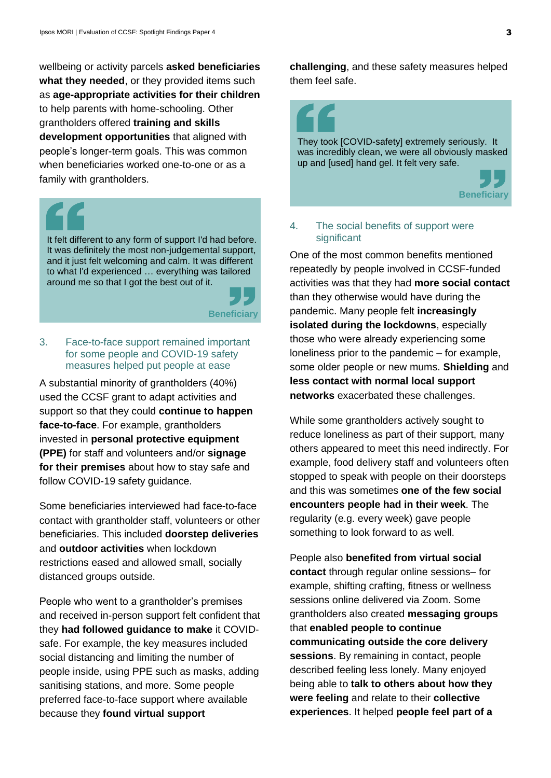wellbeing or activity parcels **asked beneficiaries what they needed**, or they provided items such as **age-appropriate activities for their children** to help parents with home-schooling. Other grantholders offered **training and skills development opportunities** that aligned with people's longer-term goals. This was common when beneficiaries worked one-to-one or as a family with grantholders.

It felt different to any form of support I'd had before. It was definitely the most non-judgemental support, and it just felt welcoming and calm. It was different to what I'd experienced … everything was tailored around me so that I got the best out of it.

**Beneficiary**

#### 3. Face-to-face support remained important for some people and COVID-19 safety measures helped put people at ease

A substantial minority of grantholders (40%) used the CCSF grant to adapt activities and support so that they could **continue to happen face-to-face**. For example, grantholders invested in **personal protective equipment (PPE)** for staff and volunteers and/or **signage for their premises** about how to stay safe and follow COVID-19 safety guidance.

Some beneficiaries interviewed had face-to-face contact with grantholder staff, volunteers or other beneficiaries. This included **doorstep deliveries** and **outdoor activities** when lockdown restrictions eased and allowed small, socially distanced groups outside.

People who went to a grantholder's premises and received in-person support felt confident that they **had followed guidance to make** it COVIDsafe. For example, the key measures included social distancing and limiting the number of people inside, using PPE such as masks, adding sanitising stations, and more. Some people preferred face-to-face support where available because they **found virtual support** 

**challenging**, and these safety measures helped them feel safe.



#### 4. The social benefits of support were significant

One of the most common benefits mentioned repeatedly by people involved in CCSF-funded activities was that they had **more social contact** than they otherwise would have during the pandemic. Many people felt **increasingly isolated during the lockdowns**, especially those who were already experiencing some loneliness prior to the pandemic – for example, some older people or new mums. **Shielding** and **less contact with normal local support networks** exacerbated these challenges.

While some grantholders actively sought to reduce loneliness as part of their support, many others appeared to meet this need indirectly. For example, food delivery staff and volunteers often stopped to speak with people on their doorsteps and this was sometimes **one of the few social encounters people had in their week**. The regularity (e.g. every week) gave people something to look forward to as well.

People also **benefited from virtual social contact** through regular online sessions– for example, shifting crafting, fitness or wellness sessions online delivered via Zoom. Some grantholders also created **messaging groups** that **enabled people to continue communicating outside the core delivery sessions**. By remaining in contact, people described feeling less lonely. Many enjoyed being able to **talk to others about how they were feeling** and relate to their **collective experiences**. It helped **people feel part of a**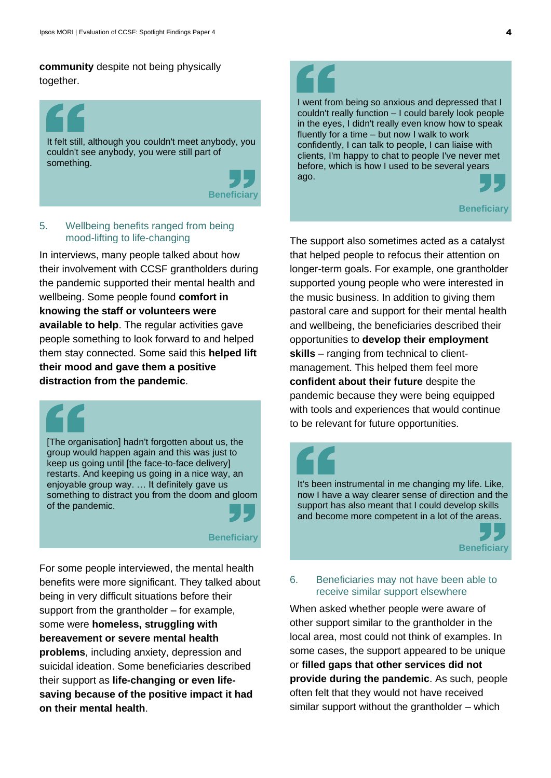#### **community** despite not being physically together.



#### 5. Wellbeing benefits ranged from being mood-lifting to life-changing

In interviews, many people talked about how their involvement with CCSF grantholders during the pandemic supported their mental health and wellbeing. Some people found **comfort in knowing the staff or volunteers were available to help**. The regular activities gave people something to look forward to and helped them stay connected. Some said this **helped lift their mood and gave them a positive distraction from the pandemic**.

[The organisation] hadn't forgotten about us, the group would happen again and this was just to keep us going until [the face-to-face delivery] restarts. And keeping us going in a nice way, an enjoyable group way. … It definitely gave us something to distract you from the doom and gloom of the pandemic.

**Beneficiary**

For some people interviewed, the mental health benefits were more significant. They talked about being in very difficult situations before their support from the grantholder – for example, some were **homeless, struggling with bereavement or severe mental health problems**, including anxiety, depression and

suicidal ideation. Some beneficiaries described their support as **life-changing or even lifesaving because of the positive impact it had on their mental health**.

I went from being so anxious and depressed that I couldn't really function – I could barely look people in the eyes, I didn't really even know how to speak fluently for a time – but now I walk to work confidently, I can talk to people, I can liaise with clients, I'm happy to chat to people I've never met before, which is how I used to be several years ago.



The support also sometimes acted as a catalyst that helped people to refocus their attention on longer-term goals. For example, one grantholder supported young people who were interested in the music business. In addition to giving them pastoral care and support for their mental health and wellbeing, the beneficiaries described their opportunities to **develop their employment skills** – ranging from technical to clientmanagement. This helped them feel more **confident about their future** despite the pandemic because they were being equipped with tools and experiences that would continue to be relevant for future opportunities.



#### 6. Beneficiaries may not have been able to receive similar support elsewhere

When asked whether people were aware of other support similar to the grantholder in the local area, most could not think of examples. In some cases, the support appeared to be unique or **filled gaps that other services did not provide during the pandemic**. As such, people often felt that they would not have received similar support without the grantholder – which